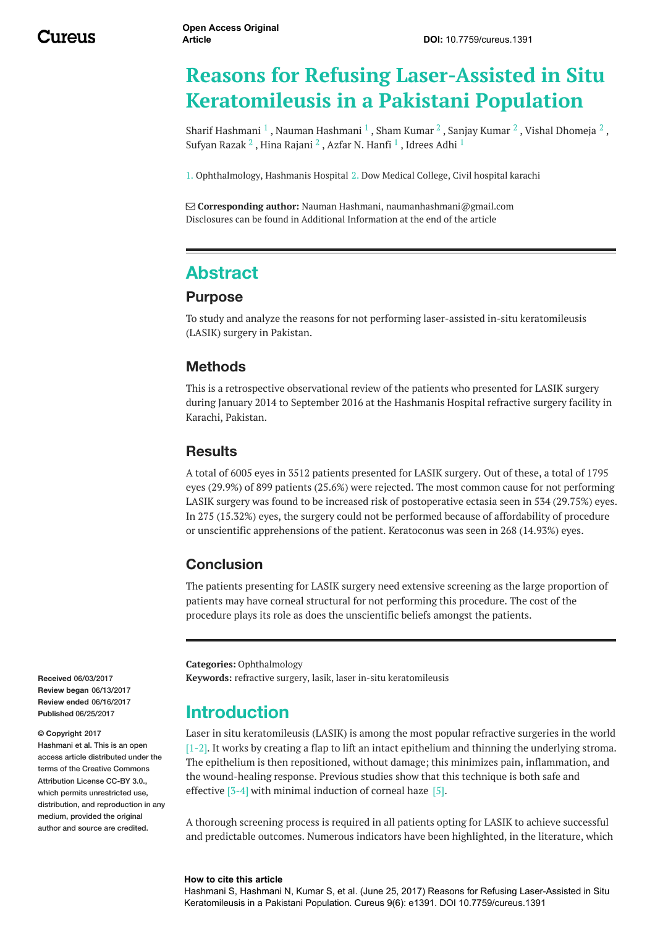# **Reasons for Refusing Laser-Assisted in Situ Keratomileusis in a Pakistani Population**

Sharif [Hashmani](http://www.cureus.com/users/39315-nauman-hashmani)  $^1$  , Nauman Hashmani  $^1$  , Sham [Kumar](http://www.cureus.com/users/41842-sanjay-kumar)  $^2$  , Sanjay Kumar  $^2$  , Vishal [Dhomeja](http://www.cureus.com/users/41843-vishal-dhomeja)  $^2$  , [Sufyan](http://www.cureus.com/users/41845-sufyan-razak) Razak $^2$  , Hina [Rajani](http://www.cureus.com/users/41847-hina-rajani)  $^2$  , Azfar N. [Hanfi](http://www.cureus.com/users/40116-azfar-n-hanfi)  $^1$  , [Idrees](http://www.cureus.com/users/40119-idrees-adhi) Adhi  $^1$ 

1. Ophthalmology, Hashmanis Hospital 2. Dow Medical College, Civil hospital karachi

 **Corresponding author:** Nauman Hashmani, naumanhashmani@gmail.com Disclosures can be found in Additional Information at the end of the article

## **Abstract**

#### **Purpose**

To study and analyze the reasons for not performing laser-assisted in-situ keratomileusis (LASIK) surgery in Pakistan.

#### **Methods**

This is a retrospective observational review of the patients who presented for LASIK surgery during January 2014 to September 2016 at the Hashmanis Hospital refractive surgery facility in Karachi, Pakistan.

#### **Results**

A total of 6005 eyes in 3512 patients presented for LASIK surgery. Out of these, a total of 1795 eyes (29.9%) of 899 patients (25.6%) were rejected. The most common cause for not performing LASIK surgery was found to be increased risk of postoperative ectasia seen in 534 (29.75%) eyes. In 275 (15.32%) eyes, the surgery could not be performed because of affordability of procedure or unscientific apprehensions of the patient. Keratoconus was seen in 268 (14.93%) eyes.

#### **Conclusion**

The patients presenting for LASIK surgery need extensive screening as the large proportion of patients may have corneal structural for not performing this procedure. The cost of the procedure plays its role as does the unscientific beliefs amongst the patients.

**Categories:** Ophthalmology **Keywords:** refractive surgery, lasik, laser in-situ keratomileusis

## **Introduction**

Laser in situ keratomileusis (LASIK) is among the most popular refractive surgeries in the world  $[1-2]$ . It works by creating a flap to lift an intact epithelium and thinning the underlying stroma. The epithelium is then repositioned, without damage; this minimizes pain, inflammation, and the wound-healing response. Previous studies show that this technique is both safe and effective [3-4] with minimal induction of corneal haze [5].

A thorough screening process is required in all patients opting for LASIK to achieve successful and predictable outcomes. Numerous indicators have been highlighted, in the literature, which

#### **How to cite this article**

Hashmani S, Hashmani N, Kumar S, et al. (June 25, 2017) Reasons for Refusing Laser-Assisted in Situ Keratomileusis in a Pakistani Population. Cureus 9(6): e1391. DOI 10.7759/cureus.1391

**Received** 06/03/2017 **Review began** 06/13/2017 **Review ended** 06/16/2017 **Published** 06/25/2017

#### **© Copyright** 2017

Hashmani et al. This is an open access article distributed under the terms of the Creative Commons Attribution License CC-BY 3.0. which permits unrestricted use, distribution, and reproduction in any medium, provided the original author and source are credited.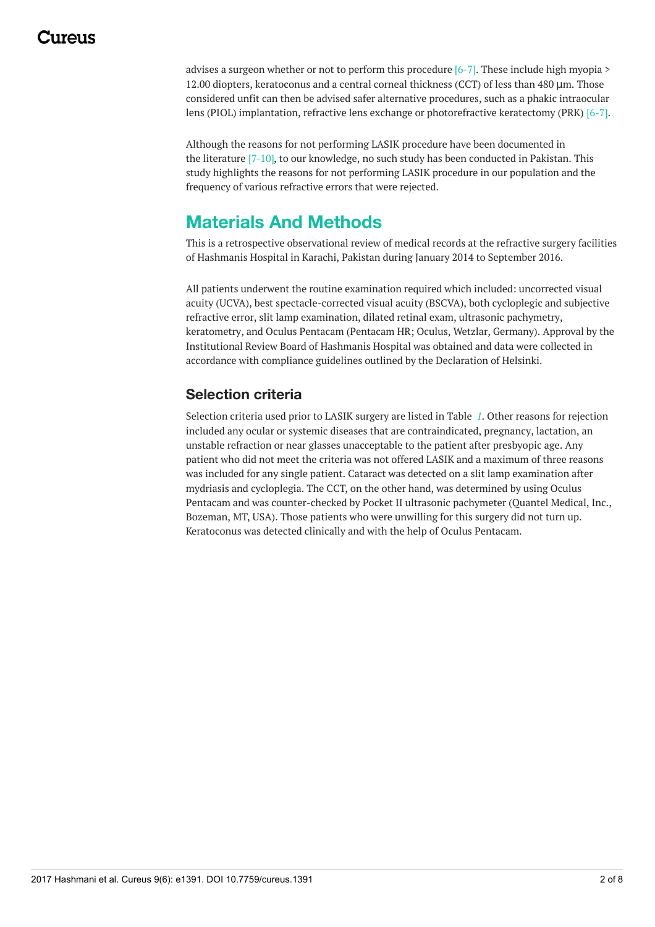## 117A119

advises a surgeon whether or not to perform this procedure [6-7]. These include high myopia > 12.00 diopters, keratoconus and a central corneal thickness (CCT) of less than 480 μm. Those considered unfit can then be advised safer alternative procedures, such as a phakic intraocular lens (PIOL) implantation, refractive lens exchange or photorefractive keratectomy (PRK) [6-7].

Although the reasons for not performing LASIK procedure have been documented in the literature [7-10], to our knowledge, no such study has been conducted in Pakistan. This study highlights the reasons for not performing LASIK procedure in our population and the frequency of various refractive errors that were rejected.

## **Materials And Methods**

This is a retrospective observational review of medical records at the refractive surgery facilities of Hashmanis Hospital in Karachi, Pakistan during January 2014 to September 2016.

All patients underwent the routine examination required which included: uncorrected visual acuity (UCVA), best spectacle-corrected visual acuity (BSCVA), both cycloplegic and subjective refractive error, slit lamp examination, dilated retinal exam, ultrasonic pachymetry, keratometry, and Oculus Pentacam (Pentacam HR; Oculus, Wetzlar, Germany). Approval by the Institutional Review Board of Hashmanis Hospital was obtained and data were collected in accordance with compliance guidelines outlined by the Declaration of Helsinki.

### **Selection criteria**

Selection criteria used prior to LASIK surgery are listed in Table *[1](#page-2-0)*. Other reasons for rejection included any ocular or systemic diseases that are contraindicated, pregnancy, lactation, an unstable refraction or near glasses unacceptable to the patient after presbyopic age. Any patient who did not meet the criteria was not offered LASIK and a maximum of three reasons was included for any single patient. Cataract was detected on a slit lamp examination after mydriasis and cycloplegia. The CCT, on the other hand, was determined by using Oculus Pentacam and was counter-checked by Pocket II ultrasonic pachymeter (Quantel Medical, Inc., Bozeman, MT, USA). Those patients who were unwilling for this surgery did not turn up. Keratoconus was detected clinically and with the help of Oculus Pentacam.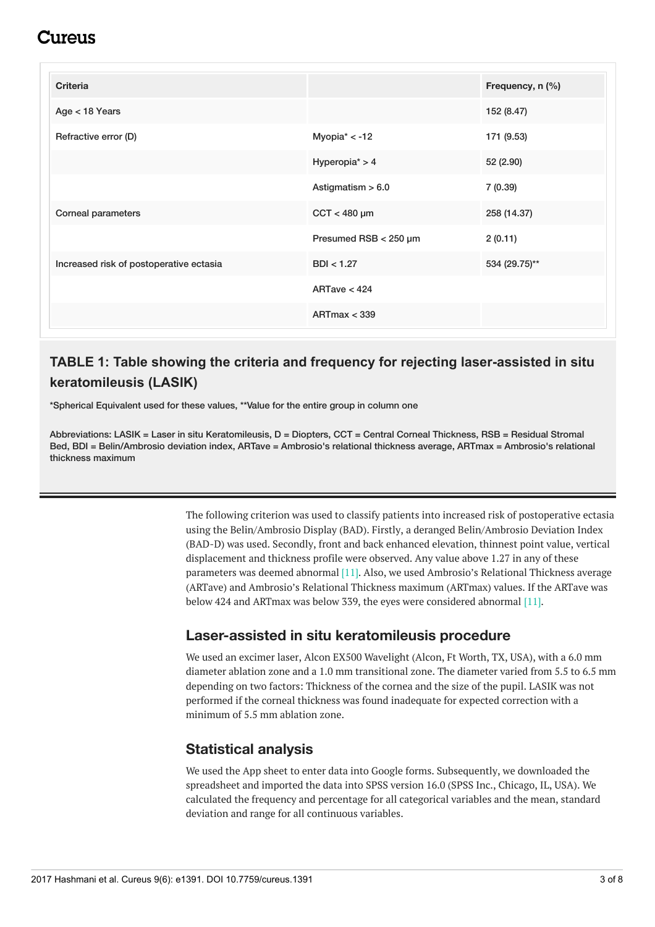## :117e11S

<span id="page-2-0"></span>

| <b>Criteria</b>                         |                       | Frequency, n (%) |
|-----------------------------------------|-----------------------|------------------|
| Age < 18 Years                          |                       | 152 (8.47)       |
| Refractive error (D)                    | Myopia $* < -12$      | 171 (9.53)       |
|                                         | Hyperopia $* > 4$     | 52 (2.90)        |
|                                         | Astigmatism $> 6.0$   | 7(0.39)          |
| Corneal parameters                      | $CCT < 480 \mu m$     | 258 (14.37)      |
|                                         | Presumed RSB < 250 µm | 2(0.11)          |
| Increased risk of postoperative ectasia | BDI < 1.27            | 534 (29.75)**    |
|                                         | ARTave $< 424$        |                  |
|                                         | ARTmax < 339          |                  |

## **TABLE 1: Table showing the criteria and frequency for rejecting laser-assisted in situ keratomileusis (LASIK)**

\*Spherical Equivalent used for these values, \*\*Value for the entire group in column one

Abbreviations: LASIK = Laser in situ Keratomileusis, D = Diopters, CCT = Central Corneal Thickness, RSB = Residual Stromal Bed, BDI = Belin/Ambrosio deviation index, ARTave = Ambrosio's relational thickness average, ARTmax = Ambrosio's relational thickness maximum

> The following criterion was used to classify patients into increased risk of postoperative ectasia using the Belin/Ambrosio Display (BAD). Firstly, a deranged Belin/Ambrosio Deviation Index (BAD-D) was used. Secondly, front and back enhanced elevation, thinnest point value, vertical displacement and thickness profile were observed. Any value above 1.27 in any of these parameters was deemed abnormal [11]. Also, we used Ambrosio's Relational Thickness average (ARTave) and Ambrosio's Relational Thickness maximum (ARTmax) values. If the ARTave was below 424 and ARTmax was below 339, the eyes were considered abnormal [11].

#### **Laser-assisted in situ keratomileusis procedure**

We used an excimer laser, Alcon EX500 Wavelight (Alcon, Ft Worth, TX, USA), with a 6.0 mm diameter ablation zone and a 1.0 mm transitional zone. The diameter varied from 5.5 to 6.5 mm depending on two factors: Thickness of the cornea and the size of the pupil. LASIK was not performed if the corneal thickness was found inadequate for expected correction with a minimum of 5.5 mm ablation zone.

#### **Statistical analysis**

We used the App sheet to enter data into Google forms. Subsequently, we downloaded the spreadsheet and imported the data into SPSS version 16.0 (SPSS Inc., Chicago, IL, USA). We calculated the frequency and percentage for all categorical variables and the mean, standard deviation and range for all continuous variables.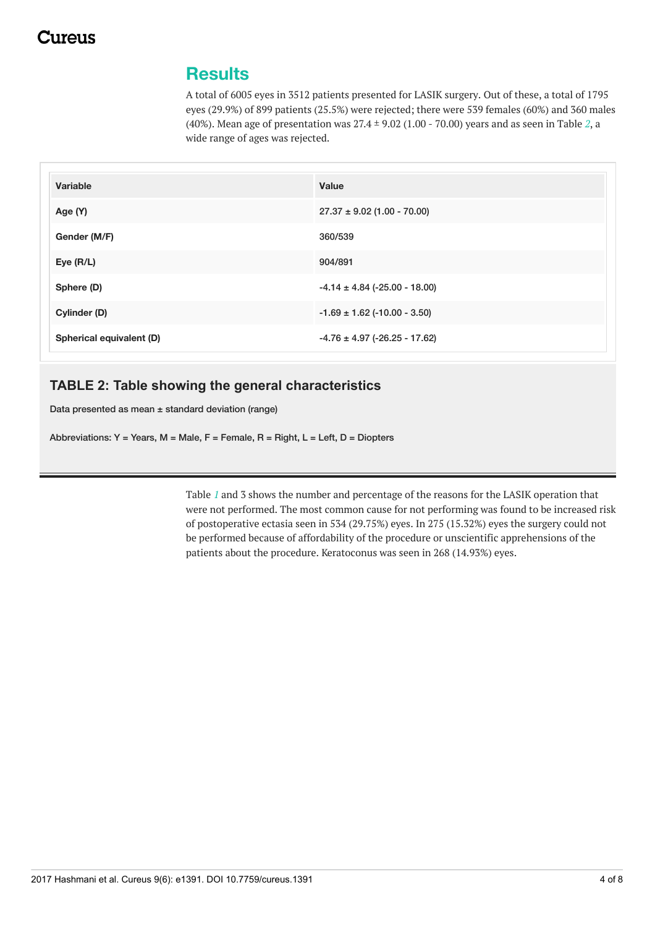## **Results**

A total of 6005 eyes in 3512 patients presented for LASIK surgery. Out of these, a total of 1795 eyes (29.9%) of 899 patients (25.5%) were rejected; there were 539 females (60%) and 360 males (40%). Mean age of presentation was 27.4 ± 9.02 (1.00 - 70.00) years and as seen in Table *[2](#page-3-0)*, a wide range of ages was rejected.

<span id="page-3-0"></span>

| Variable                 | Value                             |
|--------------------------|-----------------------------------|
| Age (Y)                  | $27.37 \pm 9.02$ (1.00 - 70.00)   |
| Gender (M/F)             | 360/539                           |
| Eye $(R/L)$              | 904/891                           |
| Sphere (D)               | $-4.14 \pm 4.84$ (-25.00 - 18.00) |
| Cylinder (D)             | $-1.69 \pm 1.62$ (-10.00 - 3.50)  |
| Spherical equivalent (D) | $-4.76 \pm 4.97$ (-26.25 - 17.62) |

#### **TABLE 2: Table showing the general characteristics**

Data presented as mean ± standard deviation (range)

Abbreviations: Y = Years, M = Male, F = Female, R = Right, L = Left, D = Diopters

Table *[1](#page-2-0)* and 3 shows the number and percentage of the reasons for the LASIK operation that were not performed. The most common cause for not performing was found to be increased risk of postoperative ectasia seen in 534 (29.75%) eyes. In 275 (15.32%) eyes the surgery could not be performed because of affordability of the procedure or unscientific apprehensions of the patients about the procedure. Keratoconus was seen in 268 (14.93%) eyes.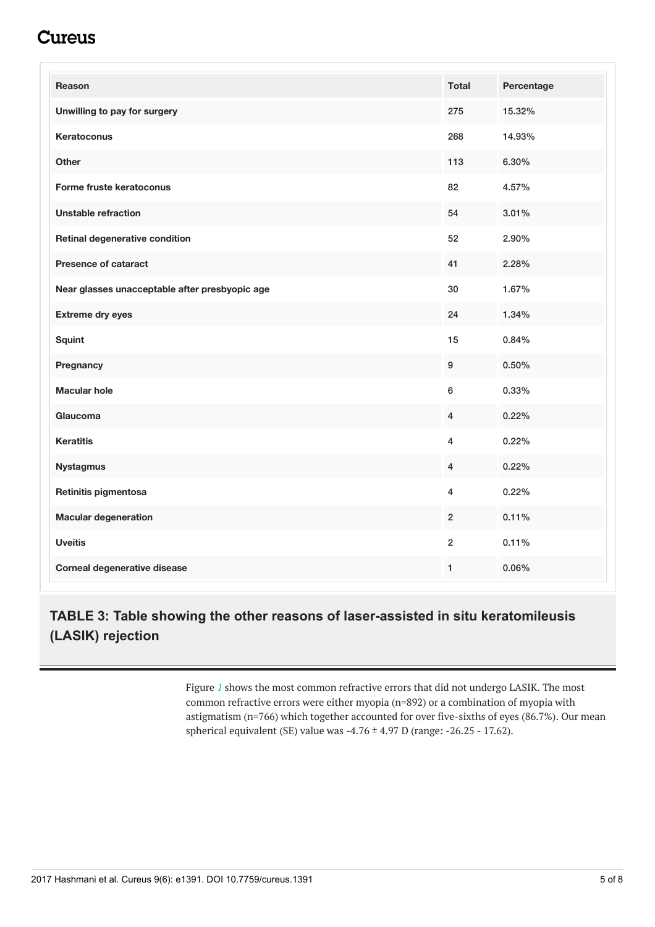## Cureus

| <b>Reason</b>                                  | <b>Total</b>   | Percentage |
|------------------------------------------------|----------------|------------|
| Unwilling to pay for surgery                   | 275            | 15.32%     |
| Keratoconus                                    | 268            | 14.93%     |
| Other                                          | 113            | 6.30%      |
| Forme fruste keratoconus                       | 82             | 4.57%      |
| <b>Unstable refraction</b>                     | 54             | 3.01%      |
| Retinal degenerative condition                 | 52             | 2.90%      |
| <b>Presence of cataract</b>                    | 41             | 2.28%      |
| Near glasses unacceptable after presbyopic age | 30             | 1.67%      |
| <b>Extreme dry eyes</b>                        | 24             | 1.34%      |
| Squint                                         | 15             | 0.84%      |
| Pregnancy                                      | 9              | 0.50%      |
| <b>Macular hole</b>                            | 6              | 0.33%      |
| Glaucoma                                       | 4              | 0.22%      |
| <b>Keratitis</b>                               | 4              | 0.22%      |
| <b>Nystagmus</b>                               | $\overline{4}$ | 0.22%      |
| Retinitis pigmentosa                           | $\overline{4}$ | 0.22%      |
| <b>Macular degeneration</b>                    | $\overline{2}$ | 0.11%      |
| <b>Uveitis</b>                                 | $\overline{2}$ | 0.11%      |
| Corneal degenerative disease                   | 1              | 0.06%      |

### **TABLE 3: Table showing the other reasons of laser-assisted in situ keratomileusis (LASIK) rejection**

Figure *[1](#page-5-0)* shows the most common refractive errors that did not undergo LASIK. The most common refractive errors were either myopia (n=892) or a combination of myopia with astigmatism (n=766) which together accounted for over five-sixths of eyes (86.7%). Our mean spherical equivalent (SE) value was  $-4.76 \pm 4.97$  D (range:  $-26.25 - 17.62$ ).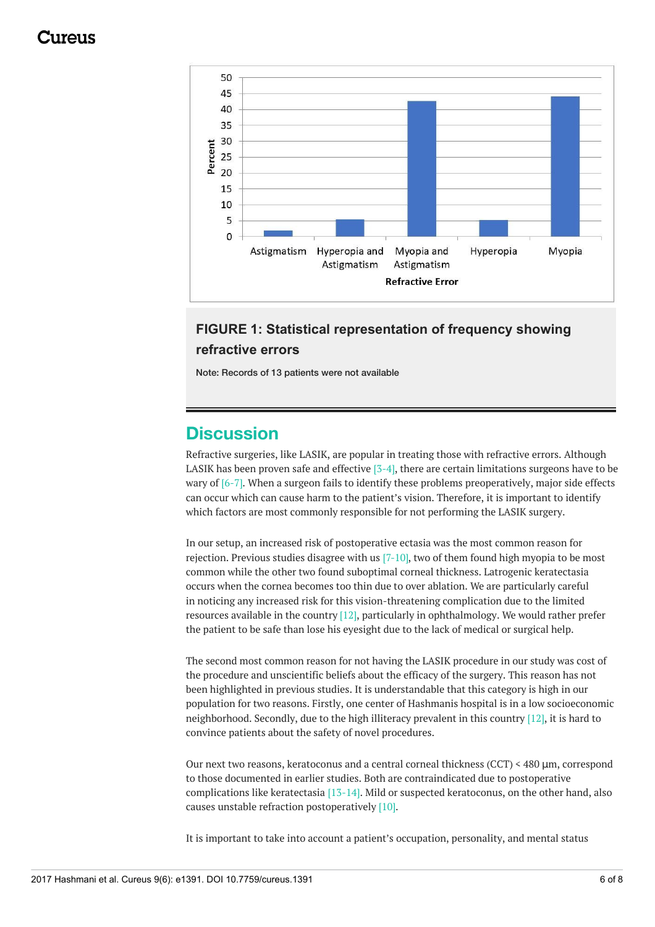<span id="page-5-0"></span>

#### **FIGURE 1: Statistical representation of frequency showing refractive errors**

Note: Records of 13 patients were not available

## **Discussion**

Refractive surgeries, like LASIK, are popular in treating those with refractive errors. Although LASIK has been proven safe and effective  $[3-4]$ , there are certain limitations surgeons have to be wary of [6-7]. When a surgeon fails to identify these problems preoperatively, major side effects can occur which can cause harm to the patient's vision. Therefore, it is important to identify which factors are most commonly responsible for not performing the LASIK surgery.

In our setup, an increased risk of postoperative ectasia was the most common reason for rejection. Previous studies disagree with us [7-10], two of them found high myopia to be most common while the other two found suboptimal corneal thickness. Latrogenic keratectasia occurs when the cornea becomes too thin due to over ablation. We are particularly careful in noticing any increased risk for this vision-threatening complication due to the limited resources available in the country [12], particularly in ophthalmology. We would rather prefer the patient to be safe than lose his eyesight due to the lack of medical or surgical help.

The second most common reason for not having the LASIK procedure in our study was cost of the procedure and unscientific beliefs about the efficacy of the surgery. This reason has not been highlighted in previous studies. It is understandable that this category is high in our population for two reasons. Firstly, one center of Hashmanis hospital is in a low socioeconomic neighborhood. Secondly, due to the high illiteracy prevalent in this country [12], it is hard to convince patients about the safety of novel procedures.

Our next two reasons, keratoconus and a central corneal thickness (CCT) < 480 μm, correspond to those documented in earlier studies. Both are contraindicated due to postoperative complications like keratectasia [13-14]. Mild or suspected keratoconus, on the other hand, also causes unstable refraction postoperatively [10].

It is important to take into account a patient's occupation, personality, and mental status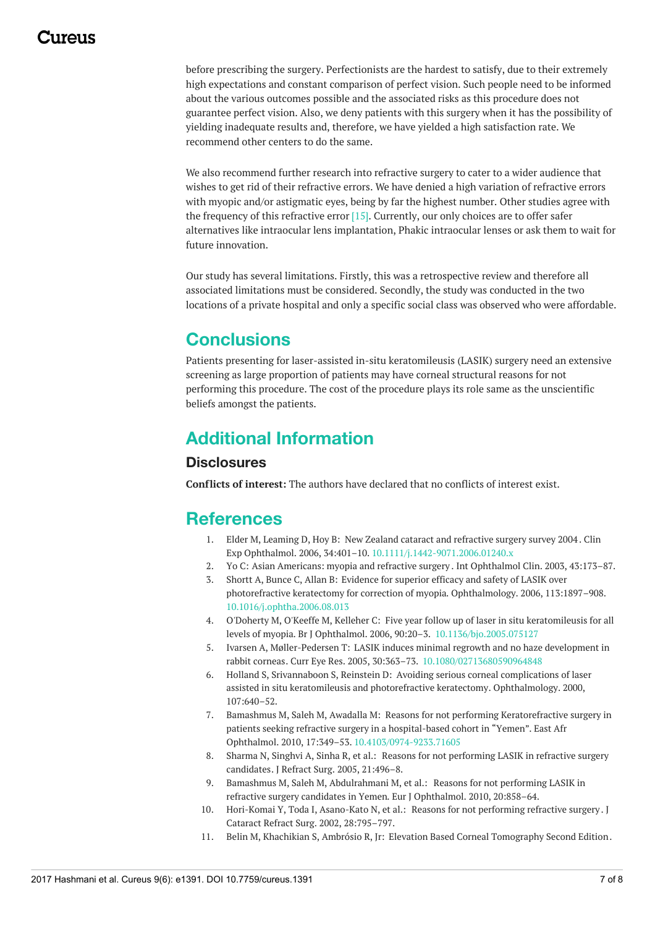before prescribing the surgery. Perfectionists are the hardest to satisfy, due to their extremely high expectations and constant comparison of perfect vision. Such people need to be informed about the various outcomes possible and the associated risks as this procedure does not guarantee perfect vision. Also, we deny patients with this surgery when it has the possibility of yielding inadequate results and, therefore, we have yielded a high satisfaction rate. We recommend other centers to do the same.

We also recommend further research into refractive surgery to cater to a wider audience that wishes to get rid of their refractive errors. We have denied a high variation of refractive errors with myopic and/or astigmatic eyes, being by far the highest number. Other studies agree with the frequency of this refractive error [15]. Currently, our only choices are to offer safer alternatives like intraocular lens implantation, Phakic intraocular lenses or ask them to wait for future innovation.

Our study has several limitations. Firstly, this was a retrospective review and therefore all associated limitations must be considered. Secondly, the study was conducted in the two locations of a private hospital and only a specific social class was observed who were affordable.

## **Conclusions**

Patients presenting for laser-assisted in-situ keratomileusis (LASIK) surgery need an extensive screening as large proportion of patients may have corneal structural reasons for not performing this procedure. The cost of the procedure plays its role same as the unscientific beliefs amongst the patients.

# **Additional Information**

#### **Disclosures**

**Conflicts of interest:** The authors have declared that no conflicts of interest exist.

## **References**

- 1. Elder M, Leaming D, Hoy B: New Zealand cataract and [refractive](http://dx.doi.org/10.1111/j.1442-9071.2006.01240.x) surgery survey 2004 . Clin Exp Ophthalmol. 2006, 34:401–10. [10.1111/j.1442-9071.2006.01240.x](http://dx.doi.org/10.1111/j.1442-9071.2006.01240.x)
- 2. Yo C: Asian [Americans:](https://www.ncbi.nlm.nih.gov/pubmed/14574209) myopia and refractive surgery . Int Ophthalmol Clin. 2003, 43:173–87.
- 3. Shortt A, Bunce C, Allan B: Evidence for superior efficacy and safety of LASIK over photorefractive keratectomy for correction of myopia. [Ophthalmology.](http://dx.doi.org/10.1016/j.ophtha.2006.08.013) 2006, 113:1897–908. [10.1016/j.ophtha.2006.08.013](http://dx.doi.org/10.1016/j.ophtha.2006.08.013)
- 4. O'Doherty M, O'Keeffe M, Kelleher C: Five year follow up of laser in situ keratomileusis for all levels of myopia. Br J Ophthalmol. 2006, 90:20–3. [10.1136/bjo.2005.075127](http://dx.doi.org/10.1136/bjo.2005.075127)
- 5. Ivarsen A, Møller-Pedersen T: LASIK induces minimal regrowth and no haze development in rabbit corneas. Curr Eye Res. 2005, 30:363–73. [10.1080/02713680590964848](http://dx.doi.org/10.1080/02713680590964848)
- 6. Holland S, Srivannaboon S, Reinstein D: Avoiding serious corneal complications of laser assisted in situ keratomileusis and photorefractive keratectomy. [Ophthalmology.](https://www.ncbi.nlm.nih.gov/pubmed/10768325) 2000, 107:640–52.
- 7. Bamashmus M, Saleh M, Awadalla M: Reasons for not performing [Keratorefractive](http://dx.doi.org/10.4103/0974-9233.71605) surgery in patients seeking refractive surgery in a hospital-based cohort in "Yemen". East Afr Ophthalmol. 2010, 17:349–53. [10.4103/0974-9233.71605](http://dx.doi.org/10.4103/0974-9233.71605)
- 8. Sharma N, Singhvi A, Sinha R, et al.: Reasons for not performing LASIK in refractive surgery [candidates.](https://www.ncbi.nlm.nih.gov/pubmed/16209449) J Refract Surg. 2005, 21:496–8.
- 9. Bamashmus M, Saleh M, [Abdulrahmani](https://www.ncbi.nlm.nih.gov/pubmed/20383849) M, et al.: Reasons for not performing LASIK in refractive surgery candidates in Yemen. Eur J Ophthalmol. 2010, 20:858–64.
- 10. Hori-Komai Y, Toda I, Asano-Kato N, et al.: Reasons for not [performing](https://www.ncbi.nlm.nih.gov/pubmed/11978457) refractive surgery . J Cataract Refract Surg. 2002, 28:795–797.
- 11. Belin M, Khachikian S, Ambrósio R, Jr: Elevation Based Corneal [Tomography](http://jphmedical.com/index.php?id_product=790&controller=product) Second Edition.